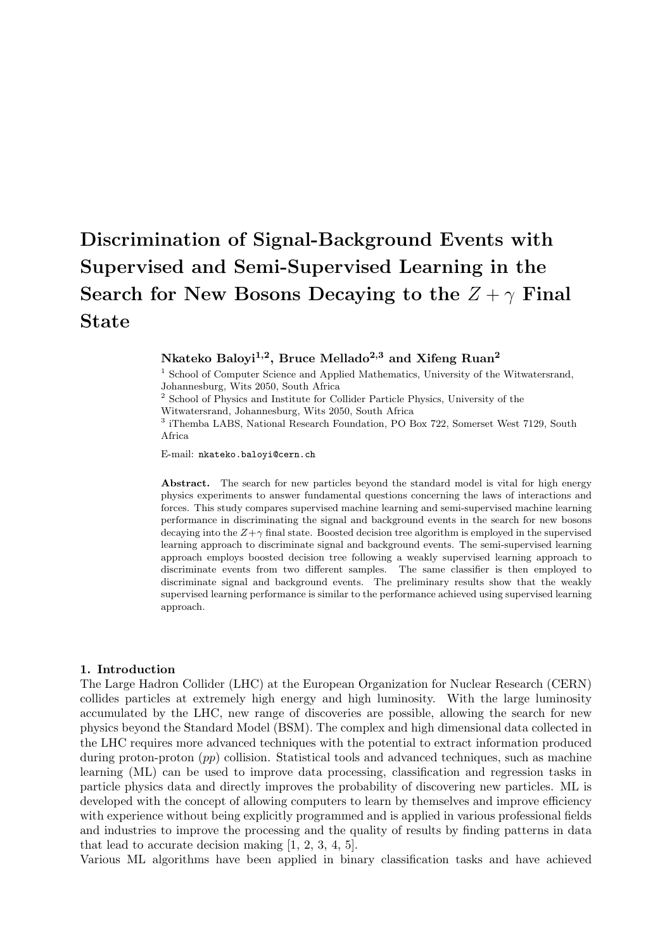# Discrimination of Signal-Background Events with Supervised and Semi-Supervised Learning in the Search for New Bosons Decaying to the  $Z + \gamma$  Final State

# Nkateko Baloyi<sup>1,2</sup>, Bruce Mellado<sup>2,3</sup> and Xifeng Ruan<sup>2</sup>

<sup>1</sup> School of Computer Science and Applied Mathematics, University of the Witwatersrand, Johannesburg, Wits 2050, South Africa

<sup>2</sup> School of Physics and Institute for Collider Particle Physics, University of the

Witwatersrand, Johannesburg, Wits 2050, South Africa

<sup>3</sup> iThemba LABS, National Research Foundation, PO Box 722, Somerset West 7129, South Africa

E-mail: nkateko.baloyi@cern.ch

Abstract. The search for new particles beyond the standard model is vital for high energy physics experiments to answer fundamental questions concerning the laws of interactions and forces. This study compares supervised machine learning and semi-supervised machine learning performance in discriminating the signal and background events in the search for new bosons decaying into the  $Z+\gamma$  final state. Boosted decision tree algorithm is employed in the supervised learning approach to discriminate signal and background events. The semi-supervised learning approach employs boosted decision tree following a weakly supervised learning approach to discriminate events from two different samples. The same classifier is then employed to discriminate signal and background events. The preliminary results show that the weakly supervised learning performance is similar to the performance achieved using supervised learning approach.

### 1. Introduction

The Large Hadron Collider (LHC) at the European Organization for Nuclear Research (CERN) collides particles at extremely high energy and high luminosity. With the large luminosity accumulated by the LHC, new range of discoveries are possible, allowing the search for new physics beyond the Standard Model (BSM). The complex and high dimensional data collected in the LHC requires more advanced techniques with the potential to extract information produced during proton-proton  $(pp)$  collision. Statistical tools and advanced techniques, such as machine learning (ML) can be used to improve data processing, classification and regression tasks in particle physics data and directly improves the probability of discovering new particles. ML is developed with the concept of allowing computers to learn by themselves and improve efficiency with experience without being explicitly programmed and is applied in various professional fields and industries to improve the processing and the quality of results by finding patterns in data that lead to accurate decision making [1, 2, 3, 4, 5].

Various ML algorithms have been applied in binary classification tasks and have achieved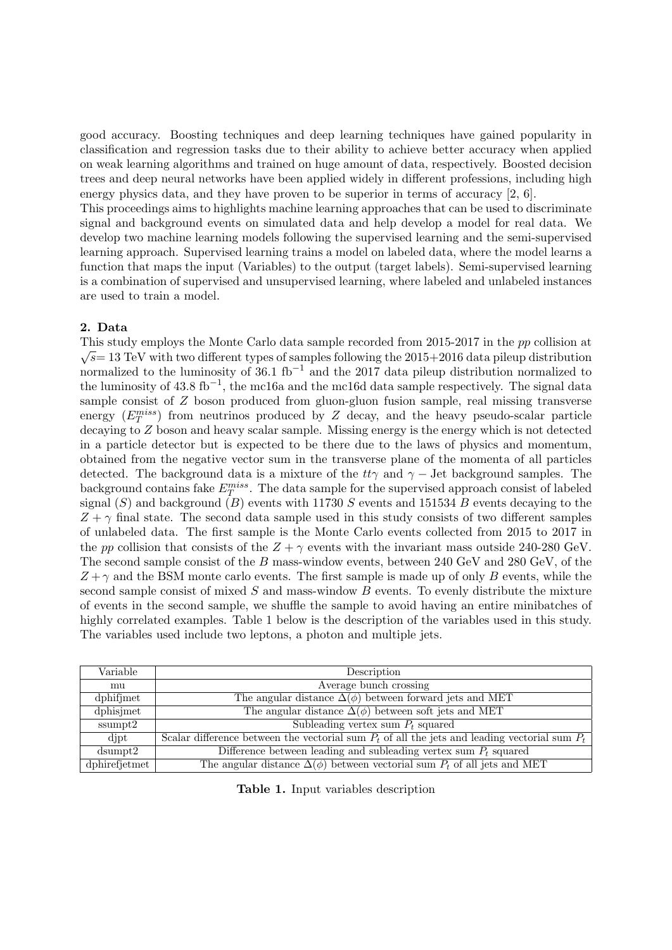good accuracy. Boosting techniques and deep learning techniques have gained popularity in classification and regression tasks due to their ability to achieve better accuracy when applied on weak learning algorithms and trained on huge amount of data, respectively. Boosted decision trees and deep neural networks have been applied widely in different professions, including high energy physics data, and they have proven to be superior in terms of accuracy [2, 6].

This proceedings aims to highlights machine learning approaches that can be used to discriminate signal and background events on simulated data and help develop a model for real data. We develop two machine learning models following the supervised learning and the semi-supervised learning approach. Supervised learning trains a model on labeled data, where the model learns a function that maps the input (Variables) to the output (target labels). Semi-supervised learning is a combination of supervised and unsupervised learning, where labeled and unlabeled instances are used to train a model.

## 2. Data

This study employs the Monte Carlo data sample recorded from 2015-2017 in the pp collision at  $\sqrt{s}$  = 13 TeV with two different types of samples following the 2015+2016 data pileup distribution normalized to the luminosity of  $36.1 \text{ fb}^{-1}$  and the 2017 data pileup distribution normalized to the luminosity of 43.8 fb<sup>-1</sup>, the mc16a and the mc16d data sample respectively. The signal data sample consist of Z boson produced from gluon-gluon fusion sample, real missing transverse energy  $(E_T^{miss})$  from neutrinos produced by Z decay, and the heavy pseudo-scalar particle decaying to Z boson and heavy scalar sample. Missing energy is the energy which is not detected in a particle detector but is expected to be there due to the laws of physics and momentum, obtained from the negative vector sum in the transverse plane of the momenta of all particles detected. The background data is a mixture of the  $tt\gamma$  and  $\gamma$  – Jet background samples. The background contains fake  $E_T^{miss}$ . The data sample for the supervised approach consist of labeled signal  $(S)$  and background  $(B)$  events with 11730 S events and 151534 B events decaying to the  $Z + \gamma$  final state. The second data sample used in this study consists of two different samples of unlabeled data. The first sample is the Monte Carlo events collected from 2015 to 2017 in the pp collision that consists of the  $Z + \gamma$  events with the invariant mass outside 240-280 GeV. The second sample consist of the B mass-window events, between 240 GeV and 280 GeV, of the  $Z + \gamma$  and the BSM monte carlo events. The first sample is made up of only B events, while the second sample consist of mixed  $S$  and mass-window  $B$  events. To evenly distribute the mixture of events in the second sample, we shuffle the sample to avoid having an entire minibatches of highly correlated examples. Table 1 below is the description of the variables used in this study. The variables used include two leptons, a photon and multiple jets.

| Variable      | Description                                                                                       |  |  |  |
|---------------|---------------------------------------------------------------------------------------------------|--|--|--|
| mu            | Average bunch crossing                                                                            |  |  |  |
| dphifjmet     | The angular distance $\Delta(\phi)$ between forward jets and MET                                  |  |  |  |
| dphisjmet     | The angular distance $\Delta(\phi)$ between soft jets and MET                                     |  |  |  |
| ssumpt2       | Subleading vertex sum $P_t$ squared                                                               |  |  |  |
| djpt          | Scalar difference between the vectorial sum $P_t$ of all the jets and leading vectorial sum $P_t$ |  |  |  |
| dsumpt2       | Difference between leading and subleading vertex sum $P_t$ squared                                |  |  |  |
| dphirefjetmet | The angular distance $\Delta(\phi)$ between vectorial sum $P_t$ of all jets and MET               |  |  |  |

Table 1. Input variables description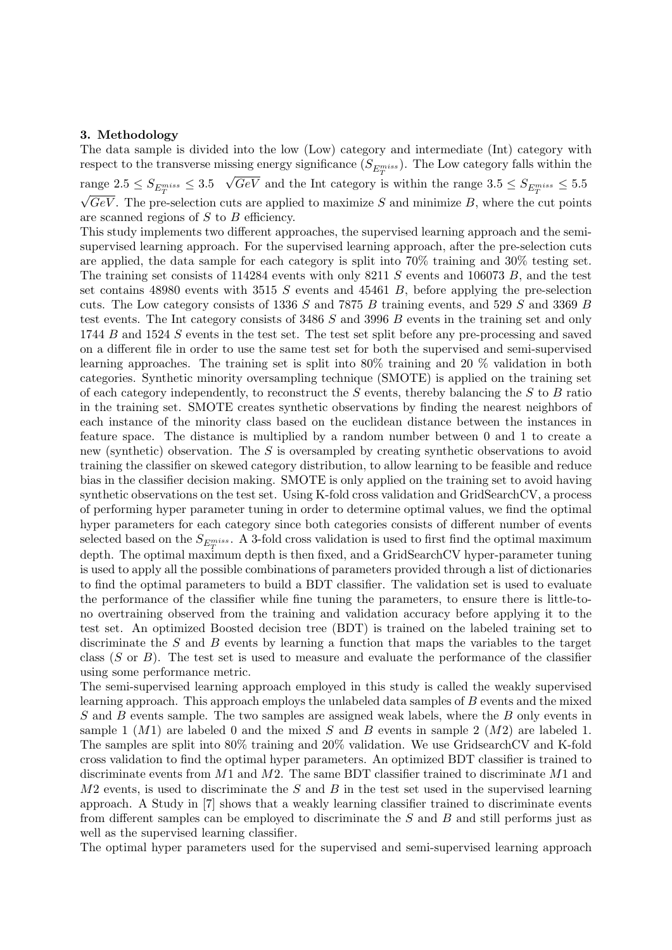### 3. Methodology

The data sample is divided into the low (Low) category and intermediate (Int) category with respect to the transverse missing energy significance  $(S_{E_{T}^{miss}})$ . The Low category falls within the range  $2.5 \leq S_{E_T^{miss}} \leq 3.5 \sqrt{GeV}$  and the Int category i √ range  $2.5 \leq S_{E_T^{miss}} \leq 3.5$   $\sqrt{GeV}$  and the Int category is within the range  $3.5 \leq S_{E_T^{miss}} \leq 5.5$  $\sqrt{GeV}$ . The pre-selection cuts are applied to maximize S and minimize B, where the cut points are scanned regions of S to B efficiency.

This study implements two different approaches, the supervised learning approach and the semisupervised learning approach. For the supervised learning approach, after the pre-selection cuts are applied, the data sample for each category is split into 70% training and 30% testing set. The training set consists of 114284 events with only 8211 S events and 106073 B, and the test set contains 48980 events with 3515 S events and 45461 B, before applying the pre-selection cuts. The Low category consists of 1336 S and 7875 B training events, and 529 S and 3369 B test events. The Int category consists of 3486 S and 3996 B events in the training set and only 1744 B and 1524 S events in the test set. The test set split before any pre-processing and saved on a different file in order to use the same test set for both the supervised and semi-supervised learning approaches. The training set is split into 80% training and 20 % validation in both categories. Synthetic minority oversampling technique (SMOTE) is applied on the training set of each category independently, to reconstruct the  $S$  events, thereby balancing the  $S$  to  $B$  ratio in the training set. SMOTE creates synthetic observations by finding the nearest neighbors of each instance of the minority class based on the euclidean distance between the instances in feature space. The distance is multiplied by a random number between 0 and 1 to create a new (synthetic) observation. The S is oversampled by creating synthetic observations to avoid training the classifier on skewed category distribution, to allow learning to be feasible and reduce bias in the classifier decision making. SMOTE is only applied on the training set to avoid having synthetic observations on the test set. Using K-fold cross validation and GridSearchCV, a process of performing hyper parameter tuning in order to determine optimal values, we find the optimal hyper parameters for each category since both categories consists of different number of events selected based on the  $S_{E_T^{miss}}$ . A 3-fold cross validation is used to first find the optimal maximum depth. The optimal maximum depth is then fixed, and a GridSearchCV hyper-parameter tuning is used to apply all the possible combinations of parameters provided through a list of dictionaries to find the optimal parameters to build a BDT classifier. The validation set is used to evaluate the performance of the classifier while fine tuning the parameters, to ensure there is little-tono overtraining observed from the training and validation accuracy before applying it to the test set. An optimized Boosted decision tree (BDT) is trained on the labeled training set to discriminate the S and B events by learning a function that maps the variables to the target class  $(S \text{ or } B)$ . The test set is used to measure and evaluate the performance of the classifier using some performance metric.

The semi-supervised learning approach employed in this study is called the weakly supervised learning approach. This approach employs the unlabeled data samples of B events and the mixed S and B events sample. The two samples are assigned weak labels, where the B only events in sample 1  $(M1)$  are labeled 0 and the mixed S and B events in sample 2  $(M2)$  are labeled 1. The samples are split into 80% training and 20% validation. We use GridsearchCV and K-fold cross validation to find the optimal hyper parameters. An optimized BDT classifier is trained to discriminate events from  $M1$  and  $M2$ . The same BDT classifier trained to discriminate  $M1$  and  $M2$  events, is used to discriminate the S and B in the test set used in the supervised learning approach. A Study in [7] shows that a weakly learning classifier trained to discriminate events from different samples can be employed to discriminate the S and B and still performs just as well as the supervised learning classifier.

The optimal hyper parameters used for the supervised and semi-supervised learning approach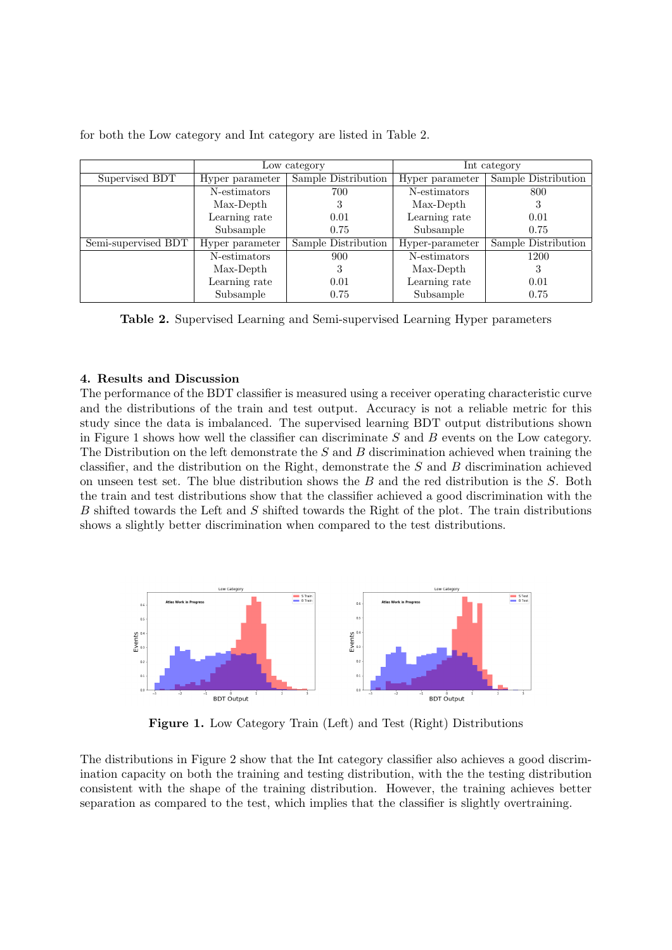|                     | Low category    |                     | Int category    |                     |
|---------------------|-----------------|---------------------|-----------------|---------------------|
| Supervised BDT      | Hyper parameter | Sample Distribution | Hyper parameter | Sample Distribution |
|                     | N-estimators    | 700                 | N-estimators    | 800                 |
|                     | Max-Depth       |                     | Max-Depth       |                     |
|                     | Learning rate   | 0.01                | Learning rate   | 0.01                |
|                     | Subsample       | 0.75                | Subsample       | 0.75                |
| Semi-supervised BDT | Hyper parameter | Sample Distribution | Hyper-parameter | Sample Distribution |
|                     | N-estimators    | 900                 | N-estimators    | 1200                |
|                     | Max-Depth       |                     | Max-Depth       |                     |
|                     | Learning rate   | 0.01                | Learning rate   | 0.01                |
|                     | Subsample       | 0.75                | Subsample       | 0.75                |

for both the Low category and Int category are listed in Table 2.

Table 2. Supervised Learning and Semi-supervised Learning Hyper parameters

# 4. Results and Discussion

The performance of the BDT classifier is measured using a receiver operating characteristic curve and the distributions of the train and test output. Accuracy is not a reliable metric for this study since the data is imbalanced. The supervised learning BDT output distributions shown in Figure 1 shows how well the classifier can discriminate  $S$  and  $B$  events on the Low category. The Distribution on the left demonstrate the  $S$  and  $B$  discrimination achieved when training the classifier, and the distribution on the Right, demonstrate the  $S$  and  $B$  discrimination achieved on unseen test set. The blue distribution shows the  $B$  and the red distribution is the  $S$ . Both the train and test distributions show that the classifier achieved a good discrimination with the  $B$  shifted towards the Left and  $S$  shifted towards the Right of the plot. The train distributions shows a slightly better discrimination when compared to the test distributions.



Figure 1. Low Category Train (Left) and Test (Right) Distributions

The distributions in Figure 2 show that the Int category classifier also achieves a good discrimination capacity on both the training and testing distribution, with the the testing distribution consistent with the shape of the training distribution. However, the training achieves better separation as compared to the test, which implies that the classifier is slightly overtraining.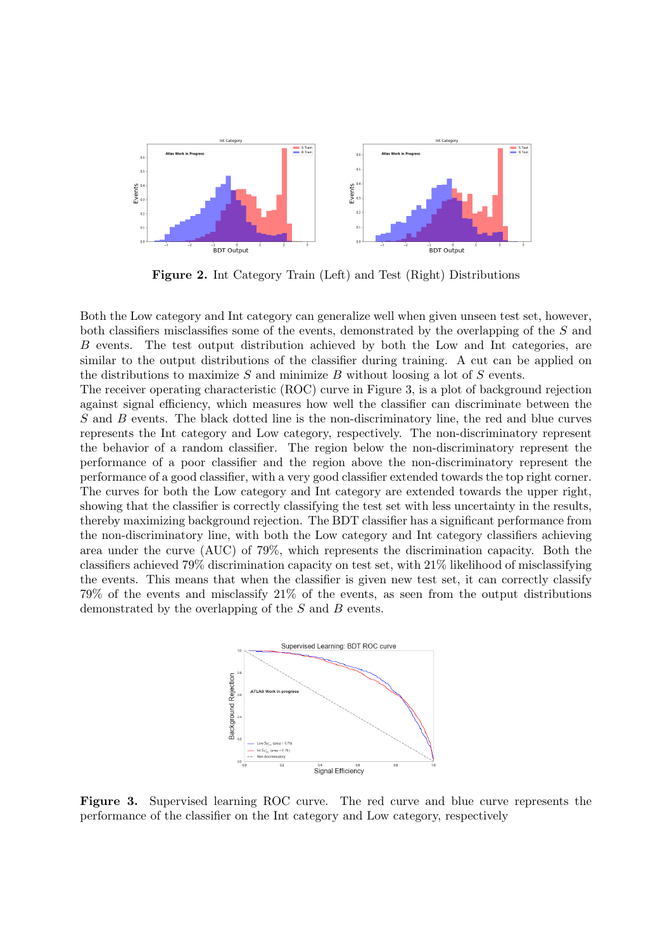

Figure 2. Int Category Train (Left) and Test (Right) Distributions

Both the Low category and Int category can generalize well when given unseen test set, however, both classifiers misclassifies some of the events, demonstrated by the overlapping of the S and B events. The test output distribution achieved by both the Low and Int categories, are similar to the output distributions of the classifier during training. A cut can be applied on the distributions to maximize  $S$  and minimize  $B$  without loosing a lot of  $S$  events.

The receiver operating characteristic (ROC) curve in Figure 3, is a plot of background rejection against signal efficiency, which measures how well the classifier can discriminate between the S and B events. The black dotted line is the non-discriminatory line, the red and blue curves represents the Int category and Low category, respectively. The non-discriminatory represent the behavior of a random classifier. The region below the non-discriminatory represent the performance of a poor classifier and the region above the non-discriminatory represent the performance of a good classifier, with a very good classifier extended towards the top right corner. The curves for both the Low category and Int category are extended towards the upper right, showing that the classifier is correctly classifying the test set with less uncertainty in the results, thereby maximizing background rejection. The BDT classifier has a significant performance from the non-discriminatory line, with both the Low category and Int category classifiers achieving area under the curve (AUC) of 79%, which represents the discrimination capacity. Both the classifiers achieved 79% discrimination capacity on test set, with 21% likelihood of misclassifying the events. This means that when the classifier is given new test set, it can correctly classify 79% of the events and misclassify 21% of the events, as seen from the output distributions demonstrated by the overlapping of the S and B events.



Figure 3. Supervised learning ROC curve. The red curve and blue curve represents the performance of the classifier on the Int category and Low category, respectively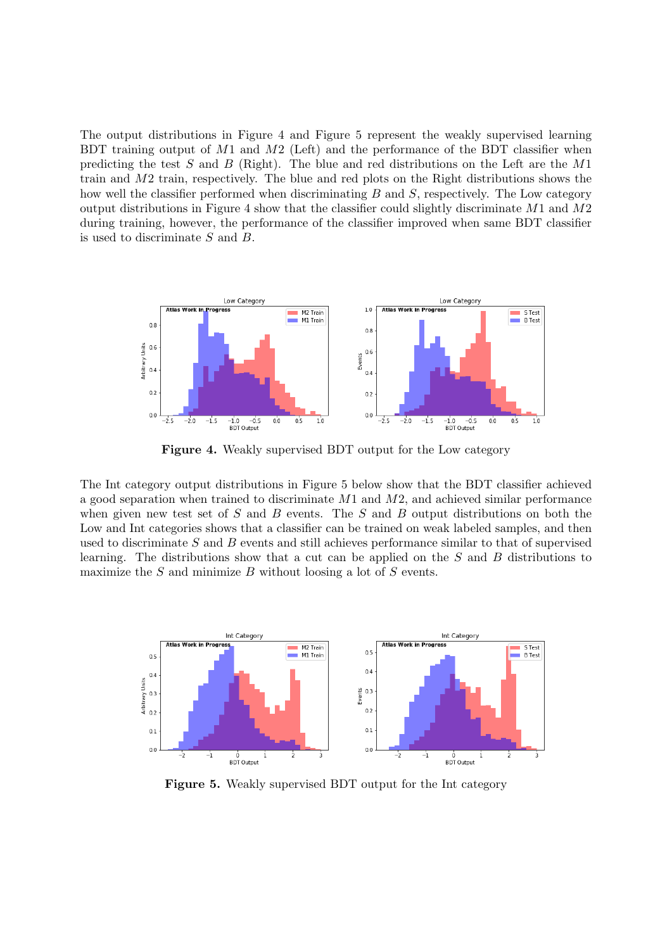The output distributions in Figure 4 and Figure 5 represent the weakly supervised learning BDT training output of  $M1$  and  $M2$  (Left) and the performance of the BDT classifier when predicting the test  $S$  and  $B$  (Right). The blue and red distributions on the Left are the  $M1$ train and M2 train, respectively. The blue and red plots on the Right distributions shows the how well the classifier performed when discriminating  $B$  and  $S$ , respectively. The Low category output distributions in Figure 4 show that the classifier could slightly discriminate M1 and M2 during training, however, the performance of the classifier improved when same BDT classifier is used to discriminate S and B.



Figure 4. Weakly supervised BDT output for the Low category

The Int category output distributions in Figure 5 below show that the BDT classifier achieved a good separation when trained to discriminate M1 and M2, and achieved similar performance when given new test set of  $S$  and  $B$  events. The  $S$  and  $B$  output distributions on both the Low and Int categories shows that a classifier can be trained on weak labeled samples, and then used to discriminate  $S$  and  $B$  events and still achieves performance similar to that of supervised learning. The distributions show that a cut can be applied on the S and B distributions to maximize the  $S$  and minimize  $B$  without loosing a lot of  $S$  events.



Figure 5. Weakly supervised BDT output for the Int category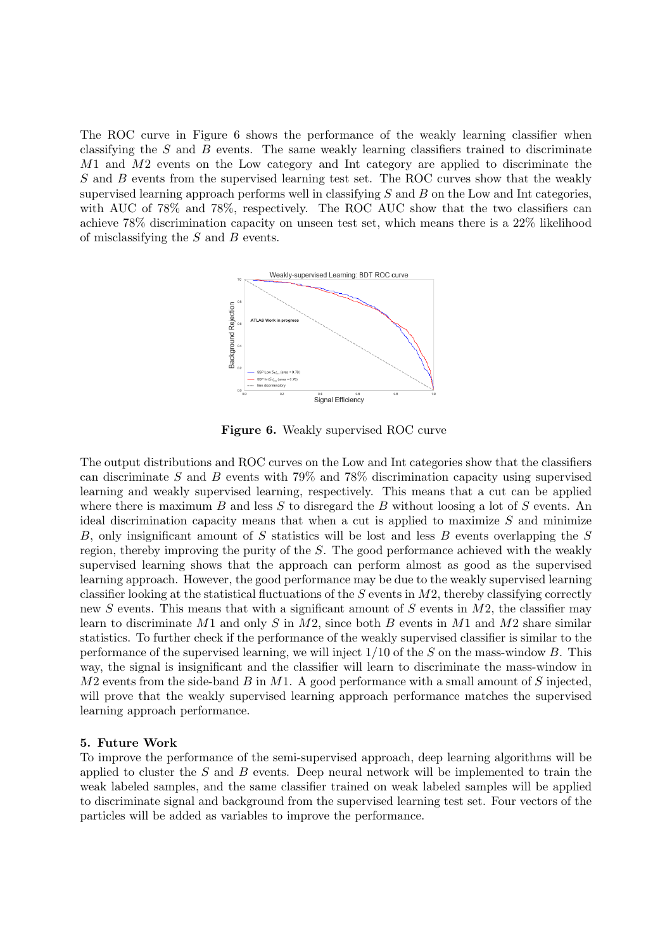The ROC curve in Figure 6 shows the performance of the weakly learning classifier when classifying the  $S$  and  $B$  events. The same weakly learning classifiers trained to discriminate M1 and M2 events on the Low category and Int category are applied to discriminate the S and B events from the supervised learning test set. The ROC curves show that the weakly supervised learning approach performs well in classifying  $S$  and  $B$  on the Low and Int categories, with AUC of 78% and 78%, respectively. The ROC AUC show that the two classifiers can achieve 78% discrimination capacity on unseen test set, which means there is a 22% likelihood of misclassifying the  $S$  and  $B$  events.



Figure 6. Weakly supervised ROC curve

The output distributions and ROC curves on the Low and Int categories show that the classifiers can discriminate S and B events with  $79\%$  and  $78\%$  discrimination capacity using supervised learning and weakly supervised learning, respectively. This means that a cut can be applied where there is maximum  $B$  and less  $S$  to disregard the  $B$  without loosing a lot of  $S$  events. An ideal discrimination capacity means that when a cut is applied to maximize  $S$  and minimize B, only insignificant amount of S statistics will be lost and less B events overlapping the S region, thereby improving the purity of the S. The good performance achieved with the weakly supervised learning shows that the approach can perform almost as good as the supervised learning approach. However, the good performance may be due to the weakly supervised learning classifier looking at the statistical fluctuations of the  $S$  events in  $M2$ , thereby classifying correctly new S events. This means that with a significant amount of S events in  $M2$ , the classifier may learn to discriminate M1 and only S in M2, since both B events in M1 and M2 share similar statistics. To further check if the performance of the weakly supervised classifier is similar to the performance of the supervised learning, we will inject  $1/10$  of the S on the mass-window B. This way, the signal is insignificant and the classifier will learn to discriminate the mass-window in  $M2$  events from the side-band  $B$  in  $M1$ . A good performance with a small amount of  $S$  injected, will prove that the weakly supervised learning approach performance matches the supervised learning approach performance.

#### 5. Future Work

To improve the performance of the semi-supervised approach, deep learning algorithms will be applied to cluster the  $S$  and  $B$  events. Deep neural network will be implemented to train the weak labeled samples, and the same classifier trained on weak labeled samples will be applied to discriminate signal and background from the supervised learning test set. Four vectors of the particles will be added as variables to improve the performance.